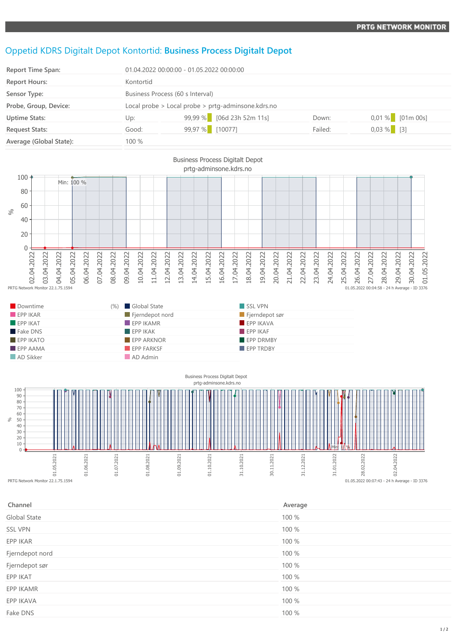## Oppetid KDRS Digitalt Depot Kontortid: **Business Process Digitalt Depot**

| <b>Report Time Span:</b> | 01.04.2022 00:00:00 - 01.05.2022 00:00:00              |                 |                           |         |             |                    |
|--------------------------|--------------------------------------------------------|-----------------|---------------------------|---------|-------------|--------------------|
| <b>Report Hours:</b>     | Kontortid                                              |                 |                           |         |             |                    |
| Sensor Type:             | Business Process (60 s Interval)                       |                 |                           |         |             |                    |
| Probe, Group, Device:    | Local probe $>$ Local probe $>$ prtg-adminsone.kdrs.no |                 |                           |         |             |                    |
| <b>Uptime Stats:</b>     | Up:                                                    |                 | 99,99 % [06d 23h 52m 11s] | Down:   |             | $0,01\%$ [01m 00s] |
| <b>Request Stats:</b>    | Good:                                                  | 99,97 % [10077] |                           | Failed: | $0,03%$ [3] |                    |
| Average (Global State):  | 100 %                                                  |                 |                           |         |             |                    |





| Channel             | Average |
|---------------------|---------|
| <b>Global State</b> | 100 %   |
| <b>SSL VPN</b>      | 100 %   |
| EPP IKAR            | 100 %   |
| Fjerndepot nord     | 100 %   |
| Fjerndepot sør      | 100 %   |
| EPP IKAT            | 100 %   |
| EPP IKAMR           | 100 %   |
| EPP IKAVA           | 100 %   |
| Fake DNS            | 100 %   |
|                     |         |